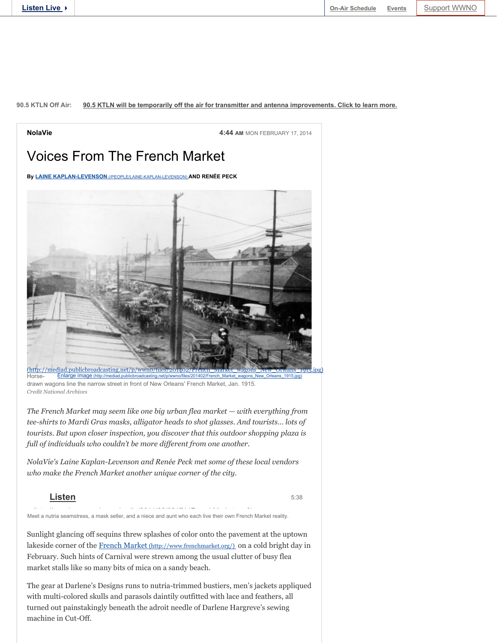## **90.5 KTLN Off Air: 90.5 KTLN will be temporarily off the air for transmitter and antenna improvements. Click to learn more.**



drawn wagons line the narrow street in front of New Orleans' French Market, Jan. 1915. *Credit National Archives* 

*The French Market may seem like one big urban flea market — with everything from tee-shirts to Mardi Gras masks, alligator heads to shot glasses. And tourists… lots of tourists. But upon closer inspection, you discover that this outdoor shopping plaza is full of individuals who couldn't be more different from one another.*

*NolaVie's Laine Kaplan-Levenson and Renée Peck met some of these local vendors who make the French Market another unique corner of the city.*

## **Listen**

5:38

Meet a nutria seamstress, a mask seller, and a niece and aunt who each live their own French Market reality.

Sunlight glancing off sequins threw splashes of color onto the pavement at the uptown lakeside corner of the French Market (http://www.frenchmarket.org/) on a cold bright day in February. Such hints of Carnival were strewn among the usual clutter of busy flea market stalls like so many bits of mica on a sandy beach.

The gear at Darlene's Designs runs to nutria-trimmed bustiers, men's jackets appliqued with multi-colored skulls and parasols daintily outfitted with lace and feathers, all turned out painstakingly beneath the adroit needle of Darlene Hargreve's sewing machine in Cut-Off.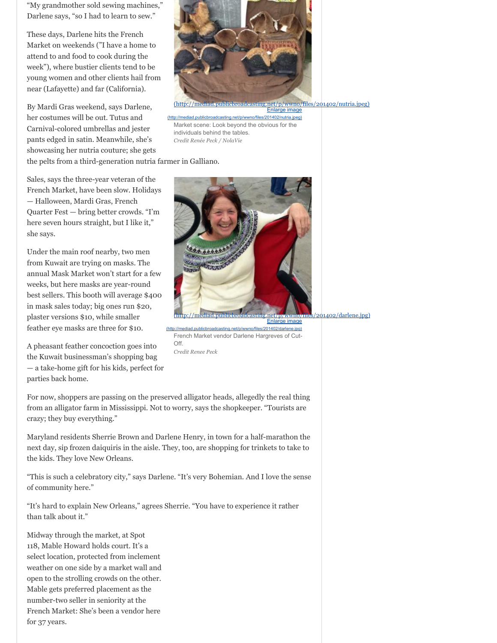"My grandmother sold sewing machines," Darlene says, "so I had to learn to sew."

These days, Darlene hits the French Market on weekends ("I have a home to attend to and food to cook during the week"), where bustier clients tend to be young women and other clients hail from near (Lafayette) and far (California).

By Mardi Gras weekend, says Darlene, her costumes will be out. Tutus and Carnival-colored umbrellas and jester pants edged in satin. Meanwhile, she's showcasing her nutria couture; she gets

(http://mediad.publicbroadcasting.net/p/wwno/files/201402/nutria.jpeg) Enlarge image

Market scene: Look beyond the obvious for the individuals behind the tables. *Credit Renée Peck / NolaVie*  d.publicbroadcasting.net/p/wwno/files/201402/nutria.jpeg)

the pelts from a third-generation nutria farmer in Galliano.

Sales, says the three-year veteran of the French Market, have been slow. Holidays — Halloween, Mardi Gras, French Quarter Fest — bring better crowds. "I'm here seven hours straight, but I like it," she says.

Under the main roof nearby, two men from Kuwait are trying on masks. The annual Mask Market won't start for a few weeks, but here masks are year-round best sellers. This booth will average \$400 in mask sales today; big ones run \$20, plaster versions \$10, while smaller feather eye masks are three for \$10.

A pheasant feather concoction goes into the Kuwait businessman's shopping bag — a take-home gift for his kids, perfect for parties back home.

 $201402/d$ arlene.jpg)

French Market vendor Darlene Hargreves of Cut-Off. *Credit Renee Peck*  publicbroadcasting.net/p/wwno/files/201402/darlene.jpg)

Enlarge image

For now, shoppers are passing on the preserved alligator heads, allegedly the real thing from an alligator farm in Mississippi. Not to worry, says the shopkeeper. "Tourists are crazy; they buy everything."

Maryland residents Sherrie Brown and Darlene Henry, in town for a half-marathon the next day, sip frozen daiquiris in the aisle. They, too, are shopping for trinkets to take to the kids. They love New Orleans.

"This is such a celebratory city," says Darlene. "It's very Bohemian. And I love the sense of community here."

"It's hard to explain New Orleans," agrees Sherrie. "You have to experience it rather than talk about it."

Midway through the market, at Spot 118, Mable Howard holds court. It's a select location, protected from inclement weather on one side by a market wall and open to the strolling crowds on the other. Mable gets preferred placement as the number-two seller in seniority at the French Market: She's been a vendor here for 37 years.